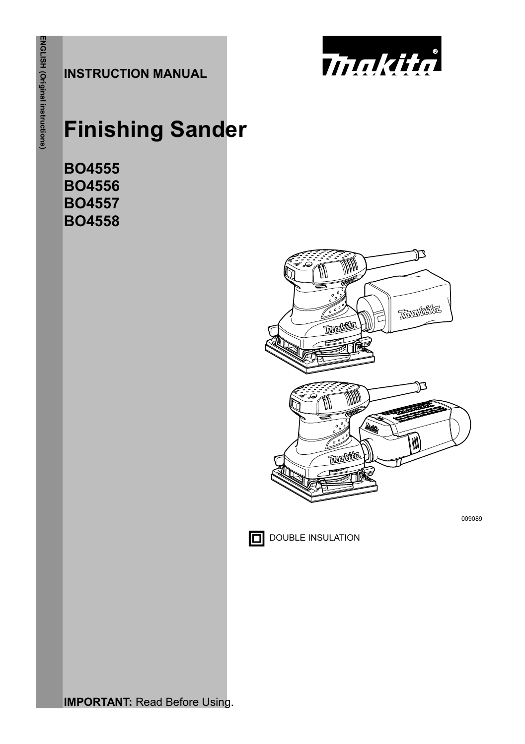**INSTRUCTION MANUAL**



# **Finishing Sander**

**BO4555 BO4556 BO4557 BO4558** 



**IMPORTANT: Read Before Using.**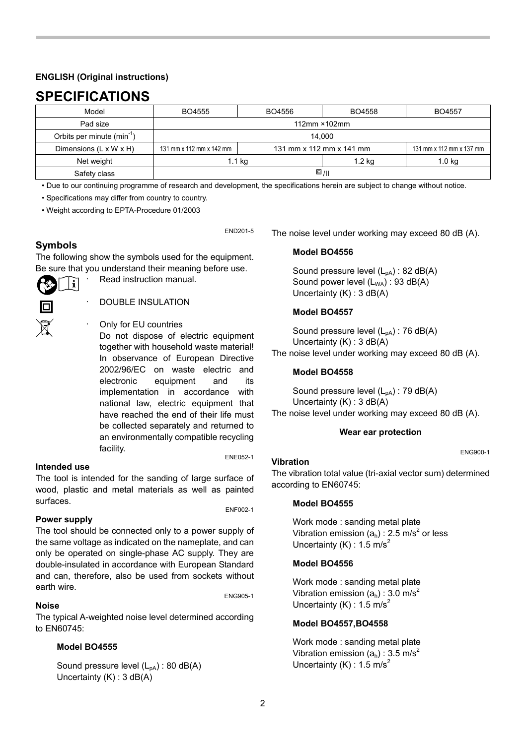### **ENGLISH (Original instructions)**

# **SPECIFICATIONS**

| Model                                  | BO4555                   | BO4556                   | BO4558           | BO4557                   |
|----------------------------------------|--------------------------|--------------------------|------------------|--------------------------|
| Pad size                               | 112mm × 102mm            |                          |                  |                          |
| Orbits per minute (min <sup>-1</sup> ) | 14.000                   |                          |                  |                          |
| Dimensions (L x W x H)                 | 131 mm x 112 mm x 142 mm | 131 mm x 112 mm x 141 mm |                  | 131 mm x 112 mm x 137 mm |
| Net weight                             | 1.1 <sub>ka</sub>        |                          | 1.2 <sub>k</sub> | 1.0 <sub>kq</sub>        |
| Safety class                           | $\square$ /II            |                          |                  |                          |

• Due to our continuing programme of research and development, the specifications herein are subject to change without notice.

END201-5

• Specifications may differ from country to country.

• Weight according to EPTA-Procedure 01/2003

# **Symbols**

The following show the symbols used for the equipment. Be sure that you understand their meaning before use.

Read instruction manual.

- ĩ
- 
- DOUBLE INSULATION
- Only for EU countries Do not dispose of electric equipment together with household waste material! In observance of European Directive 2002/96/EC on waste electric and electronic equipment and its implementation in accordance with national law, electric equipment that have reached the end of their life must be collected separately and returned to an environmentally compatible recycling facility.<br>ENE052-1

#### **Intended use**

The tool is intended for the sanding of large surface of wood, plastic and metal materials as well as painted surfaces.<br>
ENF002-1

### **Power supply**

The tool should be connected only to a power supply of the same voltage as indicated on the nameplate, and can only be operated on single-phase AC supply. They are double-insulated in accordance with European Standard and can, therefore, also be used from sockets without earth wire.<br>
ENG905-1

**Noise**

The typical A-weighted noise level determined according to EN60745:

### **Model BO4555**

Sound pressure level  $(L_{pA})$  : 80 dB(A) Uncertainty (K) : 3 dB(A)

The noise level under working may exceed 80 dB (A).

#### **Model BO4556**

Sound pressure level  $(L_{pA})$  : 82 dB(A) Sound power level  $(L_{WA})$ : 93 dB(A) Uncertainty (K) : 3 dB(A)

### **Model BO4557**

Sound pressure level  $(L_{pA})$  : 76 dB(A) Uncertainty (K) : 3 dB(A) The noise level under working may exceed 80 dB (A).

### **Model BO4558**

Sound pressure level (L<sub>pA</sub>) : 79 dB(A) Uncertainty (K) : 3 dB(A)

The noise level under working may exceed 80 dB (A).

## **Wear ear protection**

ENG900-1

### **Vibration**

The vibration total value (tri-axial vector sum) determined according to EN60745:

### **Model BO4555**

Work mode : sanding metal plate Vibration emission  $(a_h)$  : 2.5 m/s<sup>2</sup> or less Uncertainty (K) :  $1.5$  m/s<sup>2</sup>

### **Model BO4556**

Work mode : sanding metal plate Vibration emission  $(a_h)$  : 3.0 m/s<sup>2</sup> Uncertainty (K) : 1.5 m/s<sup>2</sup>

### **Model BO4557,BO4558**

Work mode : sanding metal plate Vibration emission  $(a_h)$  : 3.5 m/s<sup>2</sup> Uncertainty  $(K)$  : 1.5 m/s<sup>2</sup>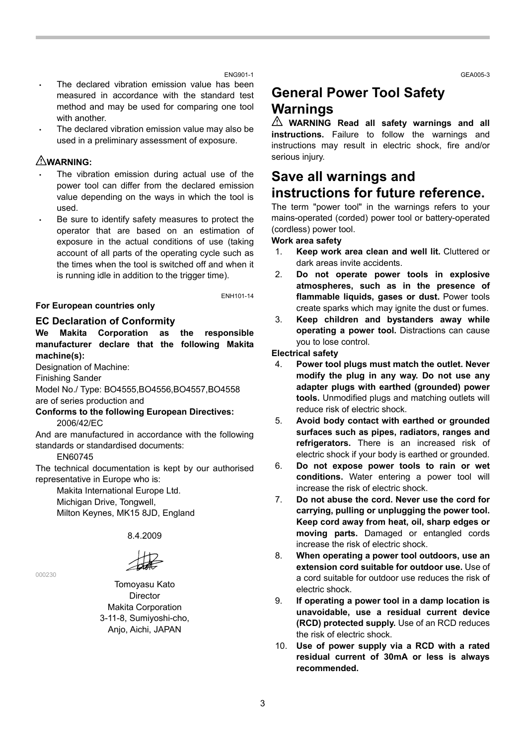GEA005-3

#### ENG901-1

- The declared vibration emission value has been measured in accordance with the standard test method and may be used for comparing one tool with another.
- The declared vibration emission value may also be used in a preliminary assessment of exposure.

### **WARNING:**

- The vibration emission during actual use of the power tool can differ from the declared emission value depending on the ways in which the tool is used.
- Be sure to identify safety measures to protect the operator that are based on an estimation of exposure in the actual conditions of use (taking account of all parts of the operating cycle such as the times when the tool is switched off and when it is running idle in addition to the trigger time).

#### **For European countries only**

#### ENH101-14

#### **EC Declaration of Conformity**

**We Makita Corporation as the responsible manufacturer declare that the following Makita machine(s):** 

Designation of Machine:

Finishing Sander

Model No./ Type: BO4555,BO4556,BO4557,BO4558 are of series production and

**Conforms to the following European Directives:**  2006/42/EC

And are manufactured in accordance with the following standards or standardised documents:

EN60745

000230

The technical documentation is kept by our authorised representative in Europe who is:

Makita International Europe Ltd. Michigan Drive, Tongwell, Milton Keynes, MK15 8JD, England

8.4.2009

Tomoyasu Kato Director Makita Corporation 3-11-8, Sumiyoshi-cho, Anjo, Aichi, JAPAN

# **General Power Tool Safety Warnings**

**WARNING Read all safety warnings and all instructions.** Failure to follow the warnings and instructions may result in electric shock, fire and/or serious injury.

# **Save all warnings and instructions for future reference.**

The term "power tool" in the warnings refers to your mains-operated (corded) power tool or battery-operated (cordless) power tool.

### **Work area safety**

- 1. **Keep work area clean and well lit.** Cluttered or dark areas invite accidents.
- 2. **Do not operate power tools in explosive atmospheres, such as in the presence of flammable liquids, gases or dust.** Power tools create sparks which may ignite the dust or fumes.
- 3. **Keep children and bystanders away while operating a power tool.** Distractions can cause you to lose control.

**Electrical safety** 

- 4. **Power tool plugs must match the outlet. Never modify the plug in any way. Do not use any adapter plugs with earthed (grounded) power tools.** Unmodified plugs and matching outlets will reduce risk of electric shock.
- 5. **Avoid body contact with earthed or grounded surfaces such as pipes, radiators, ranges and refrigerators.** There is an increased risk of electric shock if your body is earthed or grounded.
- 6. **Do not expose power tools to rain or wet conditions.** Water entering a power tool will increase the risk of electric shock.
- 7. **Do not abuse the cord. Never use the cord for carrying, pulling or unplugging the power tool. Keep cord away from heat, oil, sharp edges or moving parts.** Damaged or entangled cords increase the risk of electric shock.
- 8. **When operating a power tool outdoors, use an extension cord suitable for outdoor use.** Use of a cord suitable for outdoor use reduces the risk of electric shock.
- 9. **If operating a power tool in a damp location is unavoidable, use a residual current device (RCD) protected supply.** Use of an RCD reduces the risk of electric shock.
- 10. **Use of power supply via a RCD with a rated residual current of 30mA or less is always recommended.**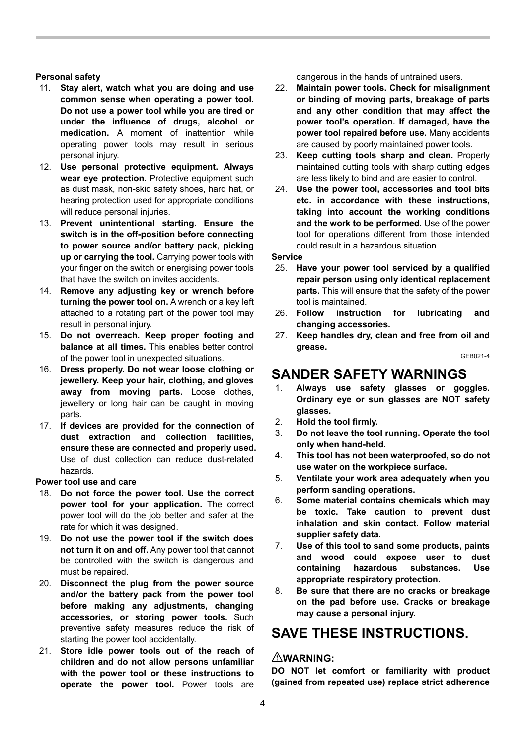#### **Personal safety**

- 11. **Stay alert, watch what you are doing and use common sense when operating a power tool. Do not use a power tool while you are tired or under the influence of drugs, alcohol or medication.** A moment of inattention while operating power tools may result in serious personal injury.
- 12. **Use personal protective equipment. Always**  wear eye protection. Protective equipment such as dust mask, non-skid safety shoes, hard hat, or hearing protection used for appropriate conditions will reduce personal injuries.
- 13. **Prevent unintentional starting. Ensure the switch is in the off-position before connecting to power source and/or battery pack, picking up or carrying the tool.** Carrying power tools with your finger on the switch or energising power tools that have the switch on invites accidents.
- 14. **Remove any adjusting key or wrench before turning the power tool on.** A wrench or a key left attached to a rotating part of the power tool may result in personal injury.
- 15. **Do not overreach. Keep proper footing and balance at all times.** This enables better control of the power tool in unexpected situations.
- 16. **Dress properly. Do not wear loose clothing or jewellery. Keep your hair, clothing, and gloves away from moving parts.** Loose clothes, jewellery or long hair can be caught in moving parts.
- 17. **If devices are provided for the connection of dust extraction and collection facilities, ensure these are connected and properly used.** Use of dust collection can reduce dust-related hazards.

**Power tool use and care** 

- 18. **Do not force the power tool. Use the correct power tool for your application.** The correct power tool will do the job better and safer at the rate for which it was designed.
- 19. **Do not use the power tool if the switch does not turn it on and off.** Any power tool that cannot be controlled with the switch is dangerous and must be repaired.
- 20. **Disconnect the plug from the power source and/or the battery pack from the power tool before making any adjustments, changing accessories, or storing power tools.** Such preventive safety measures reduce the risk of starting the power tool accidentally.
- 21. **Store idle power tools out of the reach of children and do not allow persons unfamiliar with the power tool or these instructions to operate the power tool.** Power tools are

dangerous in the hands of untrained users.

- 22. **Maintain power tools. Check for misalignment or binding of moving parts, breakage of parts and any other condition that may affect the power tool's operation. If damaged, have the power tool repaired before use.** Many accidents are caused by poorly maintained power tools.
- 23. **Keep cutting tools sharp and clean.** Properly maintained cutting tools with sharp cutting edges are less likely to bind and are easier to control.
- 24. **Use the power tool, accessories and tool bits etc. in accordance with these instructions, taking into account the working conditions and the work to be performed.** Use of the power tool for operations different from those intended could result in a hazardous situation.

**Service** 

- 25. **Have your power tool serviced by a qualified repair person using only identical replacement parts.** This will ensure that the safety of the power tool is maintained.
- 26. **Follow instruction for lubricating and changing accessories.**
- 27. **Keep handles dry, clean and free from oil and grease.**

GEB021-4

# **SANDER SAFETY WARNINGS**

- 1. **Always use safety glasses or goggles. Ordinary eye or sun glasses are NOT safety glasses.**
- 2. **Hold the tool firmly.**
- 3. **Do not leave the tool running. Operate the tool only when hand-held.**
- 4. **This tool has not been waterproofed, so do not use water on the workpiece surface.**
- 5. **Ventilate your work area adequately when you perform sanding operations.**
- 6. **Some material contains chemicals which may be toxic. Take caution to prevent dust inhalation and skin contact. Follow material supplier safety data.**
- 7. **Use of this tool to sand some products, paints and wood could expose user to dust containing hazardous substances. Use appropriate respiratory protection.**
- 8. **Be sure that there are no cracks or breakage on the pad before use. Cracks or breakage may cause a personal injury.**

# **SAVE THESE INSTRUCTIONS.**

### **WARNING:**

**DO NOT let comfort or familiarity with product (gained from repeated use) replace strict adherence**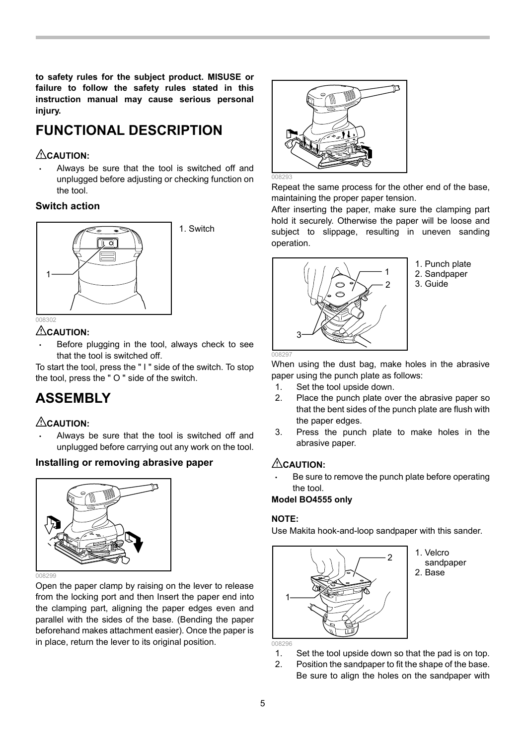**to safety rules for the subject product. MISUSE or failure to follow the safety rules stated in this instruction manual may cause serious personal injury.** 

# **FUNCTIONAL DESCRIPTION**

# **CAUTION:**

• Always be sure that the tool is switched off and unplugged before adjusting or checking function on the tool.

# **Switch action**



# **CAUTION:**

Before plugging in the tool, always check to see that the tool is switched off.

To start the tool, press the " I " side of the switch. To stop the tool, press the " O " side of the switch.

# **ASSEMBLY**

# **CAUTION:**

Always be sure that the tool is switched off and unplugged before carrying out any work on the tool.

# **Installing or removing abrasive paper**



Open the paper clamp by raising on the lever to release from the locking port and then Insert the paper end into the clamping part, aligning the paper edges even and parallel with the sides of the base. (Bending the paper beforehand makes attachment easier). Once the paper is in place, return the lever to its original position.



Repeat the same process for the other end of the base, maintaining the proper paper tension.

After inserting the paper, make sure the clamping part hold it securely. Otherwise the paper will be loose and subject to slippage, resulting in uneven sanding operation.



1. Punch plate 2. Sandpaper

3. Guide

When using the dust bag, make holes in the abrasive paper using the punch plate as follows:

- 1. Set the tool upside down.
- 2. Place the punch plate over the abrasive paper so that the bent sides of the punch plate are flush with the paper edges.
- 3. Press the punch plate to make holes in the abrasive paper.

# **CAUTION**

Be sure to remove the punch plate before operating the tool.

# **Model BO4555 only**

### **NOTE:**

Use Makita hook-and-loop sandpaper with this sander.



1. Velcro sandpaper 2. Base

- 1. Set the tool upside down so that the pad is on top.
- 2. Position the sandpaper to fit the shape of the base. Be sure to align the holes on the sandpaper with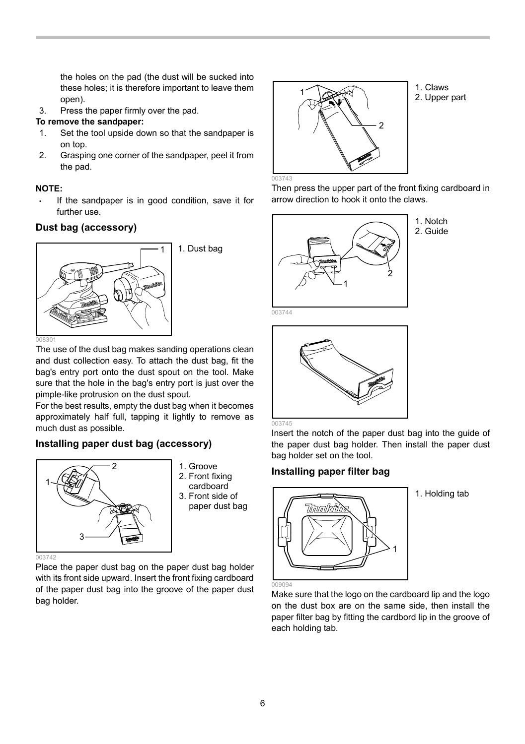the holes on the pad (the dust will be sucked into these holes; it is therefore important to leave them open).

3. Press the paper firmly over the pad.

### **To remove the sandpaper:**

- 1. Set the tool upside down so that the sandpaper is on top.
- 2. Grasping one corner of the sandpaper, peel it from the pad.

### **NOTE:**

If the sandpaper is in good condition, save it for further use.

# **Dust bag (accessory)**



The use of the dust bag makes sanding operations clean and dust collection easy. To attach the dust bag, fit the bag's entry port onto the dust spout on the tool. Make sure that the hole in the bag's entry port is just over the pimple-like protrusion on the dust spout.

For the best results, empty the dust bag when it becomes approximately half full, tapping it lightly to remove as much dust as possible.

### **Installing paper dust bag (accessory)**



- 1. Groove
- 2. Front fixing cardboard
- 3. Front side of paper dust bag

Place the paper dust bag on the paper dust bag holder with its front side upward. Insert the front fixing cardboard of the paper dust bag into the groove of the paper dust bag holder.



1. Claws 2. Upper part

Then press the upper part of the front fixing cardboard in arrow direction to hook it onto the claws.



1. Notch 2. Guide



Insert the notch of the paper dust bag into the guide of the paper dust bag holder. Then install the paper dust bag holder set on the tool.

### **Installing paper filter bag**



1. Holding tab

Make sure that the logo on the cardboard lip and the logo on the dust box are on the same side, then install the paper filter bag by fitting the cardbord lip in the groove of each holding tab.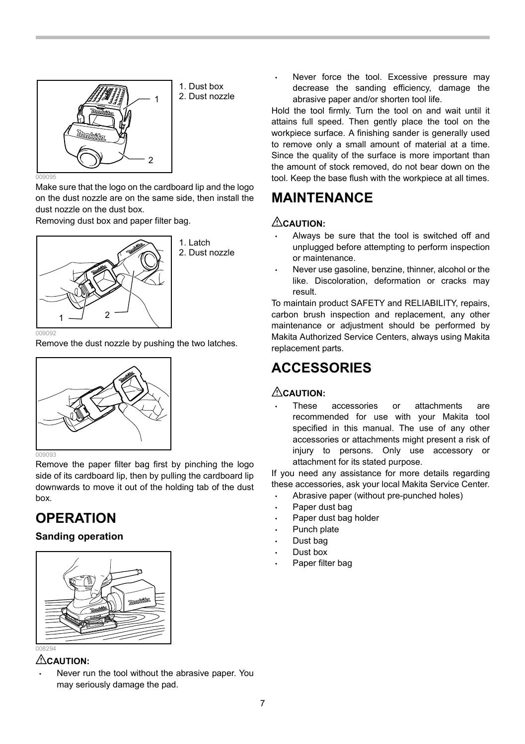

1. Dust box 2. Dust nozzle

Make sure that the logo on the cardboard lip and the logo on the dust nozzle are on the same side, then install the dust nozzle on the dust box.

Removing dust box and paper filter bag.



1. Latch 2. Dust nozzle

Remove the dust nozzle by pushing the two latches.



Remove the paper filter bag first by pinching the logo side of its cardboard lip, then by pulling the cardboard lip downwards to move it out of the holding tab of the dust box.

# **OPERATION**

# **Sanding operation**



# **CAUTION:**

Never run the tool without the abrasive paper. You may seriously damage the pad.

Never force the tool. Excessive pressure may decrease the sanding efficiency, damage the abrasive paper and/or shorten tool life.

Hold the tool firmly. Turn the tool on and wait until it attains full speed. Then gently place the tool on the workpiece surface. A finishing sander is generally used to remove only a small amount of material at a time. Since the quality of the surface is more important than the amount of stock removed, do not bear down on the tool. Keep the base flush with the workpiece at all times.

# **MAINTENANCE**

# **CAUTION:**

- Always be sure that the tool is switched off and unplugged before attempting to perform inspection or maintenance.
- Never use gasoline, benzine, thinner, alcohol or the like. Discoloration, deformation or cracks may result.

To maintain product SAFETY and RELIABILITY, repairs, carbon brush inspection and replacement, any other maintenance or adjustment should be performed by Makita Authorized Service Centers, always using Makita replacement parts.

# **ACCESSORIES**

# $\triangle$ CAUTION<sup>.</sup>

• These accessories or attachments are recommended for use with your Makita tool specified in this manual. The use of any other accessories or attachments might present a risk of injury to persons. Only use accessory or attachment for its stated purpose.

If you need any assistance for more details regarding these accessories, ask your local Makita Service Center.

- Abrasive paper (without pre-punched holes)
- Paper dust bag
- Paper dust bag holder
- Punch plate
- Dust bag
- Dust box
- Paper filter bag